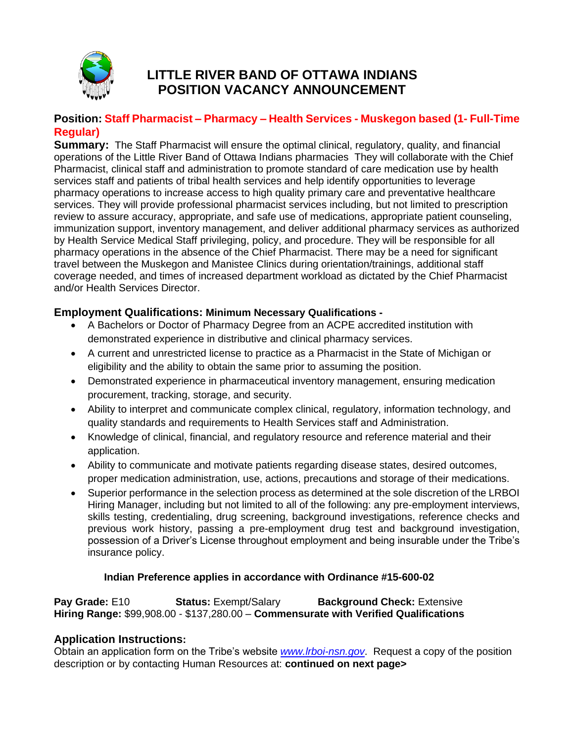

# **LITTLE RIVER BAND OF OTTAWA INDIANS POSITION VACANCY ANNOUNCEMENT**

# **Position: Staff Pharmacist – Pharmacy – Health Services - Muskegon based (1- Full-Time Regular)**

**Summary:** The Staff Pharmacist will ensure the optimal clinical, regulatory, quality, and financial operations of the Little River Band of Ottawa Indians pharmacies They will collaborate with the Chief Pharmacist, clinical staff and administration to promote standard of care medication use by health services staff and patients of tribal health services and help identify opportunities to leverage pharmacy operations to increase access to high quality primary care and preventative healthcare services. They will provide professional pharmacist services including, but not limited to prescription review to assure accuracy, appropriate, and safe use of medications, appropriate patient counseling, immunization support, inventory management, and deliver additional pharmacy services as authorized by Health Service Medical Staff privileging, policy, and procedure. They will be responsible for all pharmacy operations in the absence of the Chief Pharmacist. There may be a need for significant travel between the Muskegon and Manistee Clinics during orientation/trainings, additional staff coverage needed, and times of increased department workload as dictated by the Chief Pharmacist and/or Health Services Director.

# **Employment Qualifications: Minimum Necessary Qualifications -**

- A Bachelors or Doctor of Pharmacy Degree from an ACPE accredited institution with demonstrated experience in distributive and clinical pharmacy services.
- A current and unrestricted license to practice as a Pharmacist in the State of Michigan or eligibility and the ability to obtain the same prior to assuming the position.
- Demonstrated experience in pharmaceutical inventory management, ensuring medication procurement, tracking, storage, and security.
- Ability to interpret and communicate complex clinical, regulatory, information technology, and quality standards and requirements to Health Services staff and Administration.
- Knowledge of clinical, financial, and regulatory resource and reference material and their application.
- Ability to communicate and motivate patients regarding disease states, desired outcomes, proper medication administration, use, actions, precautions and storage of their medications.
- Superior performance in the selection process as determined at the sole discretion of the LRBOI Hiring Manager, including but not limited to all of the following: any pre-employment interviews, skills testing, credentialing, drug screening, background investigations, reference checks and previous work history, passing a pre-employment drug test and background investigation, possession of a Driver's License throughout employment and being insurable under the Tribe's insurance policy.

### **Indian Preference applies in accordance with Ordinance #15-600-02**

**Pay Grade:** E10 **Status: Exempt/Salary Background Check: Extensive <b>Status: Extensive Hiring Range:** \$99,908.00 - \$137,280.00 – **Commensurate with Verified Qualifications**

### **Application Instructions:**

Obtain an application form on the Tribe's website *[www.lrboi-nsn.gov](http://www.lrboi-nsn.gov/)*. Request a copy of the position description or by contacting Human Resources at: **continued on next page>**